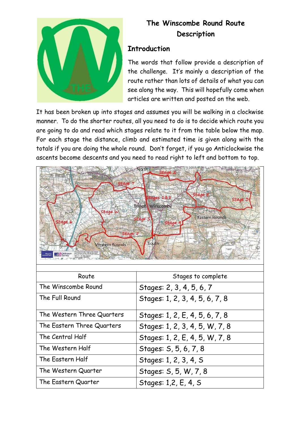

### **The Winscombe Round Route Description**

#### **Introduction**

The words that follow provide a description of the challenge. It's mainly a description of the route rather than lots of details of what you can see along the way. This will hopefully come when articles are written and posted on the web.

It has been broken up into stages and assumes you will be walking in a clockwise manner. To do the shorter routes, all you need to do is to decide which route you are going to do and read which stages relate to it from the table below the map. For each stage the distance, climb and estimated time is given along with the totals if you are doing the whole round. Don't forget, if you go Anticlockwise the ascents become descents and you need to read right to left and bottom to top.



| Route                      | Stages to complete             |
|----------------------------|--------------------------------|
| The Winscombe Round        | Stages: 2, 3, 4, 5, 6, 7       |
| The Full Round             | Stages: 1, 2, 3, 4, 5, 6, 7, 8 |
| The Western Three Quarters | Stages: 1, 2, E, 4, 5, 6, 7, 8 |
| The Eastern Three Quarters | Stages: 1, 2, 3, 4, 5, W, 7, 8 |
| The Central Half           | Stages: 1, 2, E, 4, 5, W, 7, 8 |
| The Western Half           | Stages: S, 5, 6, 7, 8          |
| The Eastern Half           | Stages: 1, 2, 3, 4, 5          |
| The Western Quarter        | Stages: S, 5, W, 7, 8          |
| The Eastern Quarter        | Stages: 1,2, E, 4, S           |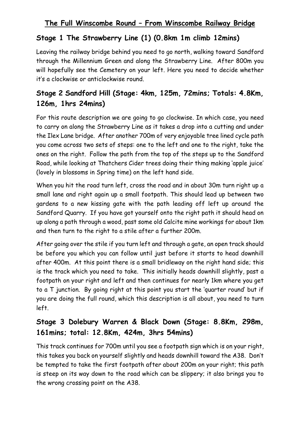### **Stage 1 The Strawberry Line (1) (0.8km 1m climb 12mins)**

Leaving the railway bridge behind you need to go north, walking toward Sandford through the Millennium Green and along the Strawberry Line. After 800m you will hopefully see the Cemetery on your left. Here you need to decide whether it's a clockwise or anticlockwise round.

# **Stage 2 Sandford Hill (Stage: 4km, 125m, 72mins; Totals: 4.8Km, 126m, 1hrs 24mins)**

For this route description we are going to go clockwise. In which case, you need to carry on along the Strawberry Line as it takes a drop into a cutting and under the Ilex Lane bridge. After another 700m of very enjoyable tree lined cycle path you come across two sets of steps: one to the left and one to the right, take the ones on the right. Follow the path from the top of the steps up to the Sandford Road, while looking at Thatchers Cider trees doing their thing making 'apple juice' (lovely in blossoms in Spring time) on the left hand side.

When you hit the road turn left, cross the road and in about 30m turn right up a small lane and right again up a small footpath. This should lead up between two gardens to a new kissing gate with the path leading off left up around the Sandford Quarry. If you have got yourself onto the right path it should head on up along a path through a wood, past some old Calcite mine workings for about 1km and then turn to the right to a stile after a further 200m.

After going over the stile if you turn left and through a gate, an open track should be before you which you can follow until just before it starts to head downhill after 400m. At this point there is a small bridleway on the right hand side; this is the track which you need to take. This initially heads downhill slightly, past a footpath on your right and left and then continues for nearly 1km where you get to a T junction. By going right at this point you start the 'quarter round' but if you are doing the full round, which this description is all about, you need to turn left.

# **Stage 3 Dolebury Warren & Black Down (Stage: 8.8Km, 298m, 161mins; total: 12.8Km, 424m, 3hrs 54mins)**

This track continues for 700m until you see a footpath sign which is on your right, this takes you back on yourself slightly and heads downhill toward the A38. Don't be tempted to take the first footpath after about 200m on your right; this path is steep on its way down to the road which can be slippery; it also brings you to the wrong crossing point on the A38.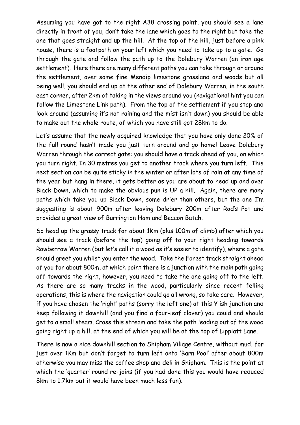Assuming you have got to the right A38 crossing point, you should see a lane directly in front of you, don't take the lane which goes to the right but take the one that goes straight and up the hill. At the top of the hill, just before a pink house, there is a footpath on your left which you need to take up to a gate. Go through the gate and follow the path up to the Dolebury Warren (an iron age settlement). Here there are many different paths you can take through or around the settlement, over some fine Mendip limestone grassland and woods but all being well, you should end up at the other end of Dolebury Warren, in the south east corner, after 2km of taking in the views around you (navigational hint you can follow the Limestone Link path). From the top of the settlement if you stop and look around (assuming it's not raining and the mist isn't down) you should be able to make out the whole route, of which you have still got 28km to do.

Let's assume that the newly acquired knowledge that you have only done 20% of the full round hasn't made you just turn around and go home! Leave Dolebury Warren through the correct gate: you should have a track ahead of you, on which you turn right. In 30 metres you get to another track where you turn left. This next section can be quite sticky in the winter or after lots of rain at any time of the year but hang in there, it gets better as you are about to head up and over Black Down, which to make the obvious pun is UP a hill. Again, there are many paths which take you up Black Down, some drier than others, but the one I'm suggesting is about 900m after leaving Dolebury 200m after Rod's Pot and provides a great view of Burrington Ham and Beacon Batch.

So head up the grassy track for about 1Km (plus 100m of climb) after which you should see a track (before the top) going off to your right heading towards Rowberrow Warren (but let's call it a wood as it's easier to identify), where a gate should greet you whilst you enter the wood. Take the Forest track straight ahead of you for about 800m, at which point there is a junction with the main path going off towards the right, however, you need to take the one going off to the left. As there are so many tracks in the wood, particularly since recent felling operations, this is where the navigation could go all wrong, so take care. However, if you have chosen the 'right' paths (sorry the left one) at this Y ish junction and keep following it downhill (and you find a four-leaf clover) you could and should get to a small steam. Cross this stream and take the path leading out of the wood going right up a hill, at the end of which you will be at the top of Lippiatt Lane.

There is now a nice downhill section to Shipham Village Centre, without mud, for just over 1Km but don't forget to turn left onto 'Barn Pool' after about 800m otherwise you may miss the coffee shop and deli in Shipham. This is the point at which the 'quarter' round re-joins (if you had done this you would have reduced 8km to 1.7km but it would have been much less fun).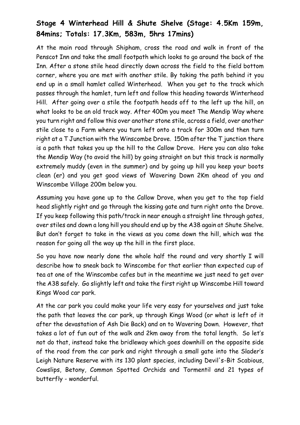# **Stage 4 Winterhead Hill & Shute Shelve (Stage: 4.5Km 159m, 84mins; Totals: 17.3Km, 583m, 5hrs 17mins)**

At the main road through Shipham, cross the road and walk in front of the Penscot Inn and take the small footpath which looks to go around the back of the Inn. After a stone stile head directly down across the field to the field bottom corner, where you are met with another stile. By taking the path behind it you end up in a small hamlet called Winterhead. When you get to the track which passes through the hamlet, turn left and follow this heading towards Winterhead Hill. After going over a stile the footpath heads off to the left up the hill, on what looks to be an old track way. After 400m you meet The Mendip Way where you turn right and follow this over another stone stile, across a field, over another stile close to a Farm where you turn left onto a track for 300m and then turn right at a T Junction with the Winscombe Drove. 150m after the T junction there is a path that takes you up the hill to the Callow Drove. Here you can also take the Mendip Way (to avoid the hill) by going straight on but this track is normally extremely muddy (even in the summer) and by going up hill you keep your boots clean (er) and you get good views of Wavering Down 2Km ahead of you and Winscombe Village 200m below you.

Assuming you have gone up to the Callow Drove, when you get to the top field head slightly right and go through the kissing gate and turn right onto the Drove. If you keep following this path/track in near enough a straight line through gates, over stiles and down a long hill you should end up by the A38 again at Shute Shelve. But don't forget to take in the views as you come down the hill, which was the reason for going all the way up the hill in the first place.

So you have now nearly done the whole half the round and very shortly I will describe how to sneak back to Winscombe for that earlier than expected cup of tea at one of the Winscombe cafes but in the meantime we just need to get over the A38 safely. Go slightly left and take the first right up Winscombe Hill toward Kings Wood car park.

At the car park you could make your life very easy for yourselves and just take the path that leaves the car park, up through Kings Wood (or what is left of it after the devastation of Ash Die Back) and on to Wavering Down. However, that takes a lot of fun out of the walk and 2km away from the total length. So let's not do that, instead take the bridleway which goes downhill on the opposite side of the road from the car park and right through a small gate into the Slader's Leigh Nature Reserve with its 130 plant species, including Devil's-Bit Scabious, Cowslips, Betony, Common Spotted Orchids and Tormentil and 21 types of butterfly - wonderful.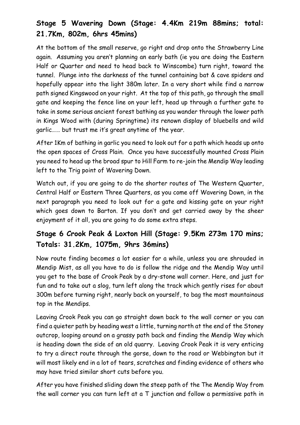# **Stage 5 Wavering Down (Stage: 4.4Km 219m 88mins; total: 21.7Km, 802m, 6hrs 45mins)**

At the bottom of the small reserve, go right and drop onto the Strawberry Line again. Assuming you aren't planning an early bath (ie you are doing the Eastern Half or Quarter and need to head back to Winscombe) turn right, toward the tunnel. Plunge into the darkness of the tunnel containing bat & cave spiders and hopefully appear into the light 380m later. In a very short while find a narrow path signed Kingswood on your right. At the top of this path, go through the small gate and keeping the fence line on your left, head up through a further gate to take in some serious ancient forest bathing as you wander through the lower path in Kings Wood with (during Springtime) its renown display of bluebells and wild garlic…… but trust me it's great anytime of the year.

After 1Km of bathing in garlic you need to look out for a path which heads up onto the open spaces of Cross Plain. Once you have successfully mounted Cross Plain you need to head up the broad spur to Hill Farm to re-join the Mendip Way leading left to the Trig point of Wavering Down.

Watch out, if you are going to do the shorter routes of The Western Quarter, Central Half or Eastern Three Quarters, as you come off Wavering Down, in the next paragraph you need to look out for a gate and kissing gate on your right which goes down to Barton. If you don't and get carried away by the sheer enjoyment of it all, you are going to do some extra steps.

### **Stage 6 Crook Peak & Loxton Hill (Stage: 9.5Km 273m 170 mins; Totals: 31.2Km, 1075m, 9hrs 36mins)**

Now route finding becomes a lot easier for a while, unless you are shrouded in Mendip Mist, as all you have to do is follow the ridge and the Mendip Way until you get to the base of Crook Peak by a dry-stone wall corner. Here, and just for fun and to take out a slog, turn left along the track which gently rises for about 300m before turning right, nearly back on yourself, to bag the most mountainous top in the Mendips.

Leaving Crook Peak you can go straight down back to the wall corner or you can find a quieter path by heading west a little, turning north at the end of the Stoney outcrop, looping around on a grassy path back and finding the Mendip Way which is heading down the side of an old quarry. Leaving Crook Peak it is very enticing to try a direct route through the gorse, down to the road or Webbington but it will most likely end in a lot of tears, scratches and finding evidence of others who may have tried similar short cuts before you.

After you have finished sliding down the steep path of the The Mendip Way from the wall corner you can turn left at a T junction and follow a permissive path in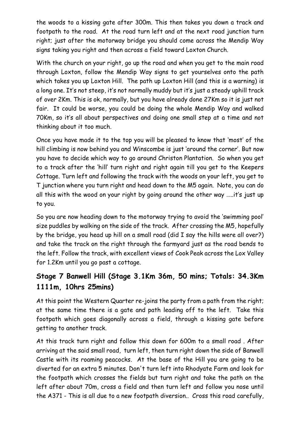the woods to a kissing gate after 300m. This then takes you down a track and footpath to the road. At the road turn left and at the next road junction turn right; just after the motorway bridge you should come across the Mendip Way signs taking you right and then across a field toward Loxton Church.

With the church on your right, go up the road and when you get to the main road through Loxton, follow the Mendip Way signs to get yourselves onto the path which takes you up Loxton Hill. The path up Loxton Hill (and this is a warning) is a long one. It's not steep, it's not normally muddy but it's just a steady uphill track of over 2Km. This is ok, normally, but you have already done 27Km so it is just not fair. It could be worse, you could be doing the whole Mendip Way and walked 70Km, so it's all about perspectives and doing one small step at a time and not thinking about it too much.

Once you have made it to the top you will be pleased to know that 'most' of the hill climbing is now behind you and Winscombe is just 'around the corner'. But now you have to decide which way to go around Christon Plantation. So when you get to a track after the 'hill' turn right and right again till you get to the Keepers Cottage. Turn left and following the track with the woods on your left, you get to T junction where you turn right and head down to the M5 again. Note, you can do all this with the wood on your right by going around the other way …..it's just up to you.

So you are now heading down to the motorway trying to avoid the 'swimming pool' size puddles by walking on the side of the track. After crossing the M5, hopefully by the bridge, you head up hill on a small road (did I say the hills were all over?) and take the track on the right through the farmyard just as the road bends to the left. Follow the track, with excellent views of Cook Peak across the Lox Valley for 1.2Km until you go past a cottage.

# **Stage 7 Banwell Hill (Stage 3.1Km 36m, 50 mins; Totals: 34.3Km 1111m, 10hrs 25mins)**

At this point the Western Quarter re-joins the party from a path from the right; at the same time there is a gate and path leading off to the left. Take this footpath which goes diagonally across a field, through a kissing gate before getting to another track.

At this track turn right and follow this down for 600m to a small road . After arriving at the said small road, turn left, then turn right down the side of Banwell Castle with its roaming peacocks. At the base of the Hill you are going to be diverted for an extra 5 minutes. Don't turn left into Rhodyate Farm and look for the footpath which crosses the fields but turn right and take the path on the left after about 70m, cross a field and then turn left and follow you nose until the A371 - This is all due to a new footpath diversion.. Cross this road carefully,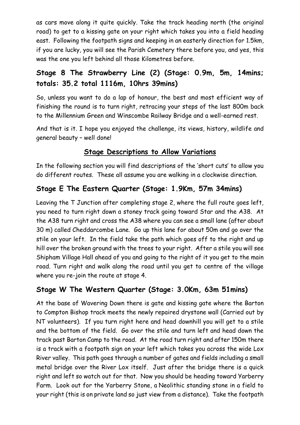as cars move along it quite quickly. Take the track heading north (the original road) to get to a kissing gate on your right which takes you into a field heading east. Following the footpath signs and keeping in an easterly direction for 1.5km, if you are lucky, you will see the Parish Cemetery there before you, and yes, this was the one you left behind all those Kilometres before.

## **Stage 8 The Strawberry Line (2) (Stage: 0.9m, 5m, 14mins; totals: 35.2 total 1116m, 10hrs 39mins)**

So, unless you want to do a lap of honour, the best and most efficient way of finishing the round is to turn right, retracing your steps of the last 800m back to the Millennium Green and Winscombe Railway Bridge and a well-earned rest.

And that is it. I hope you enjoyed the challenge, its views, history, wildlife and general beauty – well done!

#### **Stage Descriptions to Allow Variations**

In the following section you will find descriptions of the 'short cuts' to allow you do different routes. These all assume you are walking in a clockwise direction.

#### **Stage E The Eastern Quarter (Stage: 1.9Km, 57m 34mins)**

Leaving the T Junction after completing stage 2, where the full route goes left, you need to turn right down a stoney track going toward Star and the A38. At the A38 turn right and cross the A38 where you can see a small lane (after about 30 m) called Cheddarcombe Lane. Go up this lane for about 50m and go over the stile on your left. In the field take the path which goes off to the right and up hill over the broken ground with the trees to your right. After a stile you will see Shipham Village Hall ahead of you and going to the right of it you get to the main road. Turn right and walk along the road until you get to centre of the village where you re-join the route at stage 4.

### **Stage W The Western Quarter (Stage: 3.0Km, 63m 51mins)**

At the base of Wavering Down there is gate and kissing gate where the Barton to Compton Bishop track meets the newly repaired drystone wall (Carried out by NT volunteers). If you turn right here and head downhill you will get to a stile and the bottom of the field. Go over the stile and turn left and head down the track past Barton Camp to the road. At the road turn right and after 150m there is a track with a footpath sign on your left which takes you across the wide Lox River valley. This path goes through a number of gates and fields including a small metal bridge over the River Lox itself. Just after the bridge there is a quick right and left so watch out for that. Now you should be heading toward Yarberry Farm. Look out for the Yarberry Stone, a Neolithic standing stone in a field to your right (this is on private land so just view from a distance). Take the footpath